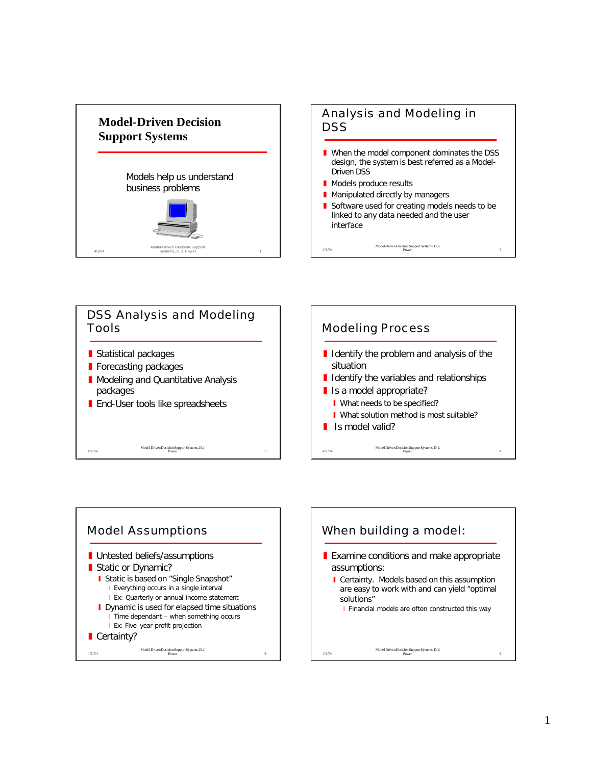





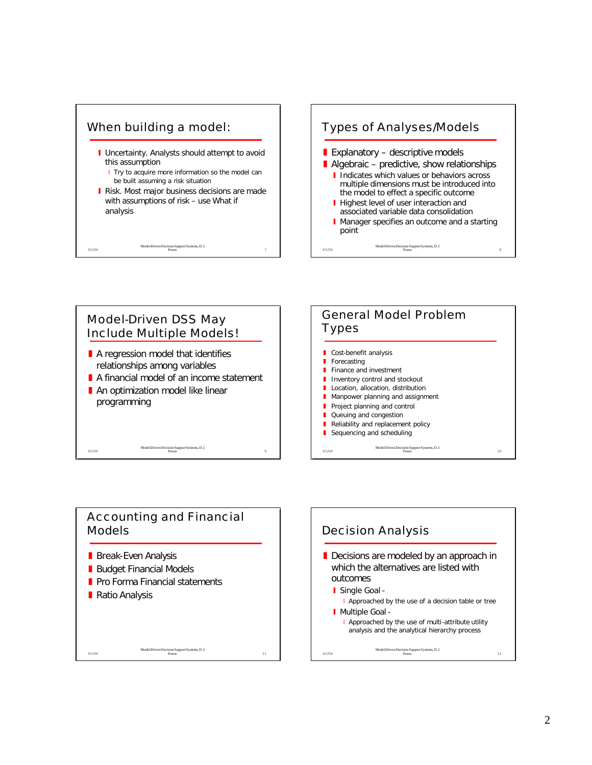





## Accounting and Financial Models

Model-Driven Decision Support Systems, D. J. Power 11

- **Break-Even Analysis**
- Budget Financial Models
- **Pro Forma Financial statements**
- Ratio Analysis

4/1/04

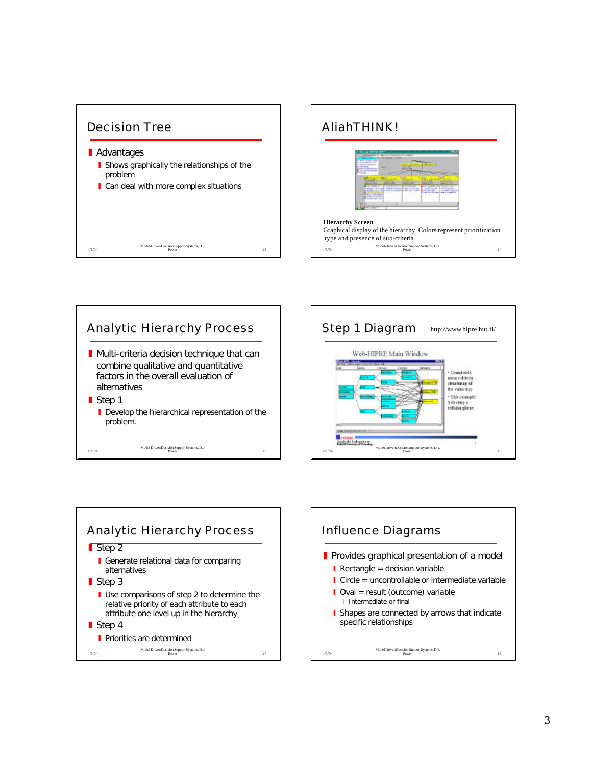









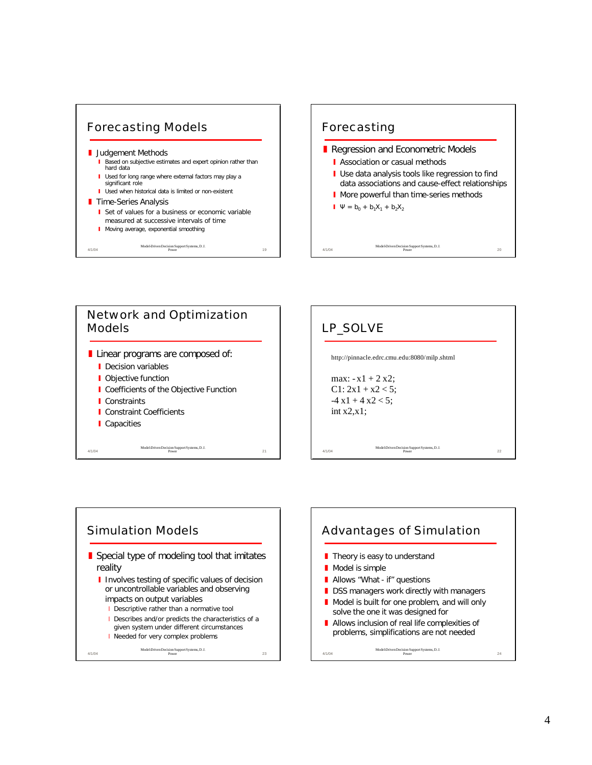